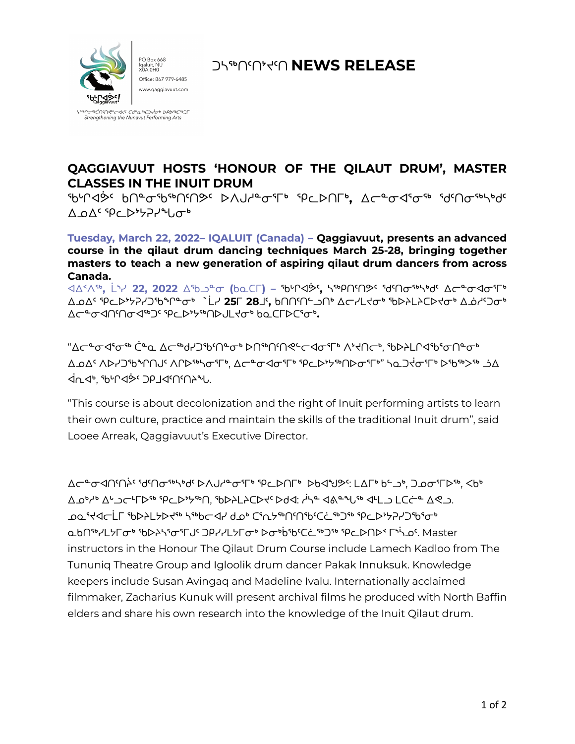

ᑐᓴᖅᑎᑦᑎᔾᔪᑦᑎ **NEWS RELEASE**

<u> የ</u>በትልሳ የሚያል የተማሪያ የሚያል የሚያል የሚያል የተማሪ Strengthening the Nunavut Performing Arts

## **QAGGIAVUUT HOSTS 'HONOUR OF THE QILAUT DRUM', MASTER CLASSES IN THE INUIT DRUM**

ᖃᒡᒋᐊᕘᑦ ᑲᑎᓐᓂᖃᖅᑎᑦᑎᕗᑦ ᐅᐱᒍᓱᓐᓂᕐᒥᒃ ᕿᓚᐅᑎᒥᒃ**,** ᐃᓕᓐᓂᐊᕐᓂᖅ ᖁᑦᑎᓂᖅᓴᒃᑯᑦ  $\Lambda$  o $\Lambda$ <sup>c</sup> spc  $\mathcal{D}$ <sub>t</sub> and  $\sigma$ <sup>b</sup>

**Tuesday, March 22, 2022– IQALUIT (Canada) – Qaggiavuut, presents an advanced course in the qilaut drum dancing techniques March 25-28, bringing together masters to teach a new generation of aspiring qilaut drum dancers from across Canada.**

ᐊᐃᑉᐱᖅ**,** ᒫᔅᓯ **22, 2022** ᐃᖃᓗᓐᓂ **(**ᑲᓇᑕᒥ**) –** ᖃᒡᒋᐊᕘᑦ**,** ᓴᖅᑭᑎᑦᑎᕗᑦ ᖁᑦᑎᓂᖅᓴᒃᑯᑦ ᐃᓕᓐᓂᐊᓂᕐᒥᒃ ᐃᓄᐃᑦ ᕿᓚᐅᔾᔭᕈᓯᑐᖃᖏᓐᓂᒃ **`**ᒫᓯ **25**ᒥ **28**ᒧᑦ**,** ᑲᑎᑎᑦᑎᓪᓗᑎᒃ ᐃᓕᓯᒪᔪᓂᒃ ᖃᐅᔨᒪᔨᑕᐅᔪᓂᒃ ᐃᓅᓱᑦᑐᓂᒃ ᐃᓕᓐᓂᐊᑎᑦᑎᓂᐊᖅᑐᑦ ᕿᓚᐅᔾᔭᖅᑎᐅᒍᒪᔪᓂᒃ ᑲᓇᑕᒥᐅᑕᕐᓂᒃ**.**

"ᐃᓕᓐᓂᐊᕐᓂᖅ ᑖᓐᓇ ᐃᓕᖅᑯᓯᑐᖃᑦᑎᓐᓂᒃ ᐅᑎᖅᑎᑦᑎᕙᓪᓕᐊᓂᕐᒥᒃ ᐱᔾᔪᑎᓕᒃ, ᖃᐅᔨᒪᒋᐊᖃᕐᓂᑎᓐᓂᒃ ᐃᓄᐃᑦ ᐱᐅᓯᑐᖃᖏᑎᒍᑦ ᐱᒋᐅᖅᓴᓂᕐᒥᒃ, ᐃᓕᓐᓂᐊᓂᕐᒥᒃ ᕿᓚᐅᔾᔭᖅᑎᐅᓂᕐᒥᒃ" ᓴᓇᑐᔫᓂᕐᒥᒃ ᐅᖃᖅᐳᖅ ᓘᐃ **غ∩←∀ ₹∂∩∱** ⊀∫∧∱. לייך

"This course is about decolonization and the right of Inuit performing artists to learn their own culture, practice and maintain the skills of the traditional Inuit drum", said Looee Arreak, Qaggiavuut's Executive Director.

ᐃᓕᓐᓂᐊᑎᑦᑎᔩᑦ ᖁᑦᑎᓂᖅᓴᒃᑯᑦ ᐅᐱᒍᓱᓐᓂᕐᒥᒃ ᕿᓚᐅᑎᒥᒃ ᐅᑲᐊᖑᕗᑦ: ᒪᐃᒥᒃ ᑲᓪᓗᒃ, ᑐᓄᓂᕐᒥᐅᖅ, ᐸᑲᒃ ᐃᓄᒃᓱᒃ ᐃᒡᓗᓕᒻᒥᐅᖅ ᕿᓚᐅᔾᔭᖅᑎ, ᖃᐅᔨᒪᔨᑕᐅᔪᑦ ᐅᑯᐊ: ᓲᓴᓐ ᐊᕕᓐᖓᖅ ᐊᒻᒪᓗ ᒪᑕᓖᓐ ᐃᕙᓗ. ܝܘܘ <sup>ק</sup>ללכלי י∂ܘ ליכילי ליי∂ים לאי ליחי ליים ליים ליחים ליחים ליחים ליחים ליחים ליחים ליחים ליחים לי ᓇᑲᑎᖅᓯᒪᔭᒥᓂᒃ ᖃᐅᔨᓴᕐᓂᕐᒥᒍᑦ ᑐᑭᓯᓯᒪᔭᒥᓂᒃ ᐅᓂᒃᑳᖃᑦᑕᓛᖅᑐᖅ ᕿᓚᐅᑎᐅᑉ ᒥᔅᓵᓄᑦ. Master instructors in the Honour The Qilaut Drum Course include Lamech Kadloo from The Tununiq Theatre Group and Igloolik drum dancer Pakak Innuksuk. Knowledge keepers include Susan Avingaq and Madeline Ivalu. Internationally acclaimed filmmaker, Zacharius Kunuk will present archival films he produced with North Baffin elders and share his own research into the knowledge of the Inuit Qilaut drum.